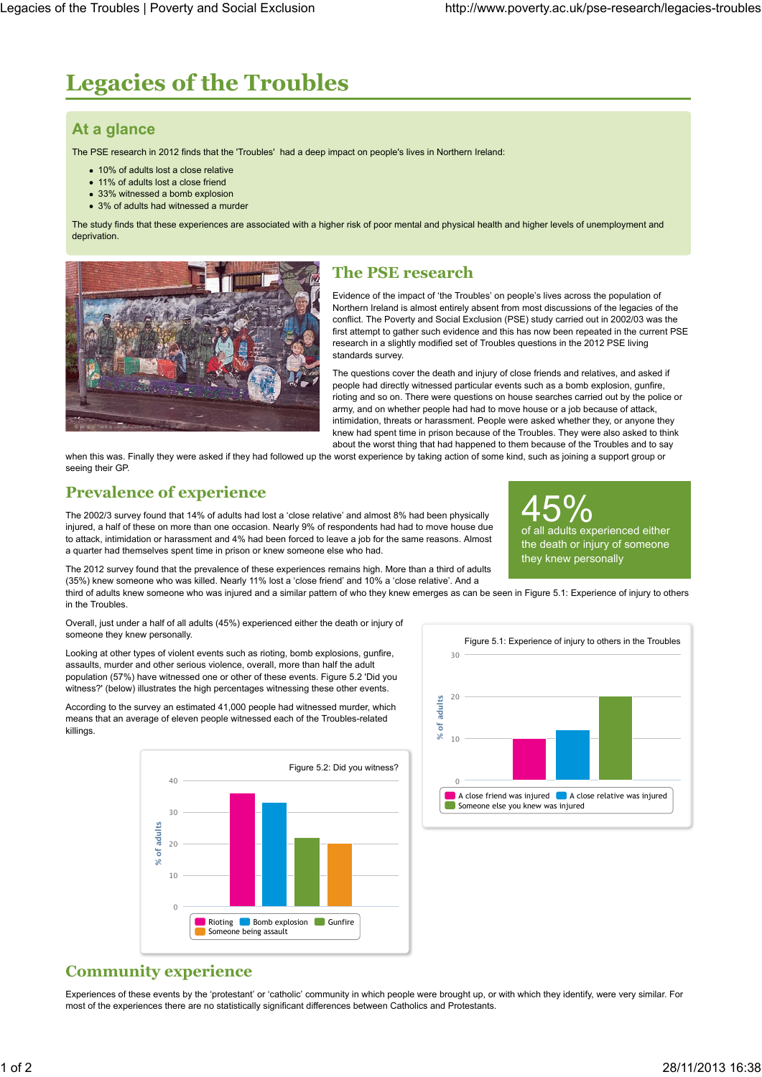# **Legacies of the Troubles**

# **At a glance**

The PSE research in 2012 finds that the 'Troubles' had a deep impact on people's lives in Northern Ireland:

- 10% of adults lost a close relative
- 11% of adults lost a close friend
- 33% witnessed a bomb explosion
- 3% of adults had witnessed a murder

The study finds that these experiences are associated with a higher risk of poor mental and physical health and higher levels of unemployment and deprivation.



### **The PSE research**

Evidence of the impact of 'the Troubles' on people's lives across the population of Northern Ireland is almost entirely absent from most discussions of the legacies of the conflict. The Poverty and Social Exclusion (PSE) study carried out in 2002/03 was the first attempt to gather such evidence and this has now been repeated in the current PSE research in a slightly modified set of Troubles questions in the 2012 PSE living standards survey.

The questions cover the death and injury of close friends and relatives, and asked if people had directly witnessed particular events such as a bomb explosion, gunfire, rioting and so on. There were questions on house searches carried out by the police or army, and on whether people had had to move house or a job because of attack, intimidation, threats or harassment. People were asked whether they, or anyone they knew had spent time in prison because of the Troubles. They were also asked to think about the worst thing that had happened to them because of the Troubles and to say

when this was. Finally they were asked if they had followed up the worst experience by taking action of some kind, such as joining a support group or seeing their GP.

# **Prevalence of experience**

The 2002/3 survey found that 14% of adults had lost a 'close relative' and almost 8% had been physically injured, a half of these on more than one occasion. Nearly 9% of respondents had had to move house due to attack, intimidation or harassment and 4% had been forced to leave a job for the same reasons. Almost a quarter had themselves spent time in prison or knew someone else who had.

The 2012 survey found that the prevalence of these experiences remains high. More than a third of adults (35%) knew someone who was killed. Nearly 11% lost a 'close friend' and 10% a 'close relative'. And a

third of adults knew someone who was injured and a similar pattern of who they knew emerges as can be seen in Figure 5.1: Experience of injury to others in the Troubles.

Overall, just under a half of all adults (45%) experienced either the death or injury of someone they knew personally.

Looking at other types of violent events such as rioting, bomb explosions, gunfire, assaults, murder and other serious violence, overall, more than half the adult population (57%) have witnessed one or other of these events. Figure 5.2 'Did you witness?' (below) illustrates the high percentages witnessing these other events

According to the survey an estimated 41,000 people had witnessed murder, which means that an average of eleven people witnessed each of the Troubles-related killings.





45%

they knew personally

all adults experienced either the death or injury of someone

#### **Community experience**

Experiences of these events by the 'protestant' or 'catholic' community in which people were brought up, or with which they identify, were very similar. For most of the experiences there are no statistically significant differences between Catholics and Protestants.